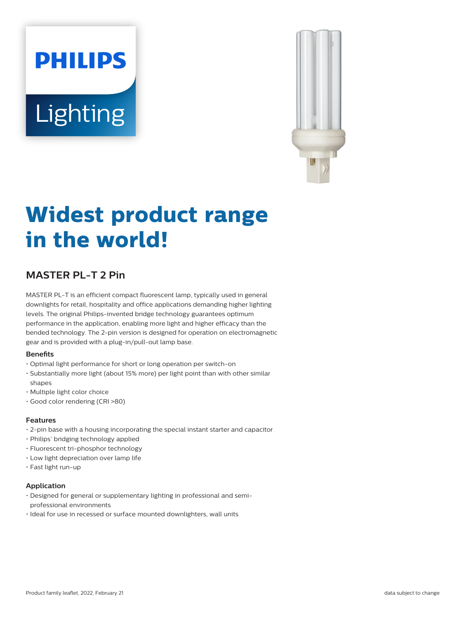# **PHILIPS** Lighting



# **Widest product range in the world!**

# **MASTER PL-T 2 Pin**

MASTER PL-T is an efficient compact fluorescent lamp, typically used in general downlights for retail, hospitality and office applications demanding higher lighting levels. The original Philips-invented bridge technology guarantees optimum performance in the application, enabling more light and higher efficacy than the bended technology. The 2-pin version is designed for operation on electromagnetic gear and is provided with a plug-in/pull-out lamp base.

### **Benefits**

- Optimal light performance for short or long operation per switch-on
- Substantially more light (about 15% more) per light point than with other similar shapes
- Multiple light color choice
- Good color rendering (CRI >80)

#### **Features**

- $\cdot$  2-pin base with a housing incorporating the special instant starter and capacitor
- Philips' bridging technology applied
- Fluorescent tri-phosphor technology
- Low light depreciation over lamp life
- Fast light run-up

### **Application**

- Designed for general or supplementary lighting in professional and semiprofessional environments
- Ideal for use in recessed or surface mounted downlighters, wall units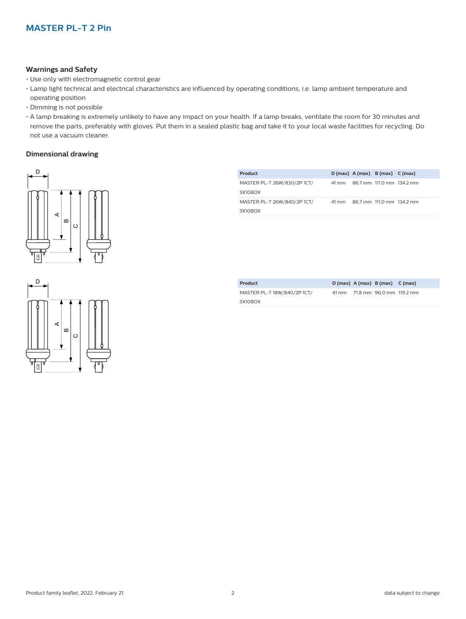#### **Warnings and Safety**

- Use only with electromagnetic control gear
- Lamp light technical and electrical characteristics are influenced by operating conditions, i.e. lamp ambient temperature and operating position
- Dimming is not possible
- A lamp breaking is extremely unlikely to have any impact on your health. If a lamp breaks, ventilate the room for 30 minutes and remove the parts, preferably with gloves. Put them in a sealed plastic bag and take it to your local waste facilities for recycling. Do not use a vacuum cleaner.

#### **Dimensional drawing**



| Product                     |  | $D(max)$ A (max) B (max) C (max) |                                 |
|-----------------------------|--|----------------------------------|---------------------------------|
| MASTER PL-T 26W/830/2P 1CT/ |  |                                  | 41 mm 86.7 mm 111.0 mm 134.2 mm |
| 5X10BOX                     |  |                                  |                                 |
| MASTER PL-T 26W/840/2P 1CT/ |  |                                  | 41 mm 86.7 mm 111.0 mm 134.2 mm |
| 5X10BOX                     |  |                                  |                                 |

| Product                     |  | $D(max)$ A (max) B (max) C (max) |  |
|-----------------------------|--|----------------------------------|--|
| MASTER PL-T 18W/840/2P 1CT/ |  | 41 mm 71.8 mm 96.0 mm 119.2 mm   |  |
| 5X10BOX                     |  |                                  |  |

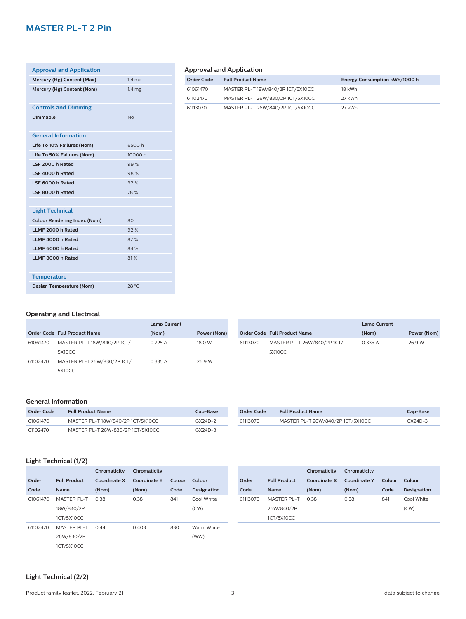# **MASTER PL-T 2 Pin**

| <b>Approval and Application</b>     |                   |
|-------------------------------------|-------------------|
| Mercury (Hg) Content (Max)          | 1.4 <sub>mg</sub> |
| Mercury (Hg) Content (Nom)          | 1.4 <sub>mg</sub> |
|                                     |                   |
| <b>Controls and Dimming</b>         |                   |
| <b>Dimmable</b>                     | No                |
|                                     |                   |
| <b>General Information</b>          |                   |
| Life To 10% Failures (Nom)          | 6500h             |
| Life To 50% Failures (Nom)          | 10000 h           |
| LSF 2000 h Rated                    | 99%               |
| LSF 4000 h Rated                    | 98%               |
| LSF 6000 h Rated                    | 92%               |
| LSF 8000 h Rated                    | 78 %              |
|                                     |                   |
| <b>Light Technical</b>              |                   |
| <b>Colour Rendering Index (Nom)</b> | 80                |
| LLMF 2000 h Rated                   | 92%               |
| LLMF 4000 h Rated                   | 87%               |
| LLMF 6000 h Rated                   | 84 %              |
| LLMF 8000 h Rated                   | 81%               |
|                                     |                   |
| <b>Temperature</b>                  |                   |
| Design Temperature (Nom)            | 28 °C             |

# **Approval and Application**

| Order Code | <b>Full Product Name</b>          | Energy Consumption kWh/1000 h |
|------------|-----------------------------------|-------------------------------|
| 61061470   | MASTER PL-T 18W/840/2P 1CT/5X10CC | 18 kWh                        |
| 61102470   | MASTER PL-T 26W/830/2P 1CT/5X10CC | 27 kWh                        |
| 61113070   | MASTER PL-T 26W/840/2P 1CT/5X10CC | 27 kWh                        |

# **Operating and Electrical**

|          |                              | <b>Lamp Current</b> |             |
|----------|------------------------------|---------------------|-------------|
|          | Order Code Full Product Name | (Nom)               | Power (Nom) |
| 61061470 | MASTER PL-T 18W/840/2P 1CT/  | 0.225A              | 18.0 W      |
|          | 5X10CC                       |                     |             |
| 61102470 | MASTER PL-T 26W/830/2P 1CT/  | 0.335 A             | 26.9 W      |
|          | 5X10CC                       |                     |             |

|          |                                     | <b>Lamp Current</b> |             |
|----------|-------------------------------------|---------------------|-------------|
|          | <b>Order Code Full Product Name</b> | (Nom)               | Power (Nom) |
| 61113070 | MASTER PL-T 26W/840/2P 1CT/         | 0.335 A             | 26.9 W      |
|          | 5X10CC                              |                     |             |

#### **General Information**

| Order Code | <b>Full Product Name</b>          | Cap-Base  |
|------------|-----------------------------------|-----------|
| 61061470   | MASTER PL-T 18W/840/2P 1CT/5X10CC | $GX24D-2$ |
| 61102470   | MASTER PL-T 26W/830/2P 1CT/5X10CC | $GX24D-3$ |

| Order Code | <b>Full Product Name</b>          | Cap-Base  |
|------------|-----------------------------------|-----------|
| 61113070   | MASTER PL-T 26W/840/2P 1CT/5X10CC | $GX24D-3$ |

# **Light Technical (1/2)**

|          |                     | Chromaticity | Chromaticity        |        |             |          |   |
|----------|---------------------|--------------|---------------------|--------|-------------|----------|---|
| Order    | <b>Full Product</b> | Coordinate X | <b>Coordinate Y</b> | Colour | Colour      | Order    | F |
| Code     | <b>Name</b>         | (Nom)        | (Nom)               | Code   | Designation | Code     | N |
| 61061470 | <b>MASTER PL-T</b>  | 0.38         | 0.38                | 841    | Cool White  | 61113070 | Λ |
|          | 18W/840/2P          |              |                     |        | (CW)        |          | 2 |
|          | 1CT/5X10CC          |              |                     |        |             |          | 1 |
| 61102470 | MASTER PL-T         | 0.44         | 0.403               | 830    | Warm White  |          |   |
|          | 26W/830/2P          |              |                     |        | (WW)        |          |   |
|          | 1CT/5X10CC          |              |                     |        |             |          |   |

|          |                     | Chromaticity | Chromaticity |        |                    |
|----------|---------------------|--------------|--------------|--------|--------------------|
| Order    | <b>Full Product</b> | Coordinate X | Coordinate Y | Colour | Colour             |
| Code     | <b>Name</b>         | (Nom)        | (Nom)        | Code   | <b>Designation</b> |
| 61113070 | <b>MASTER PL-T</b>  | O 38         | 0.38         | 841    | Cool White         |
|          | 26W/840/2P          |              |              |        | (CW)               |
|          | 1CT/5X10CC          |              |              |        |                    |

# **Light Technical (2/2)**